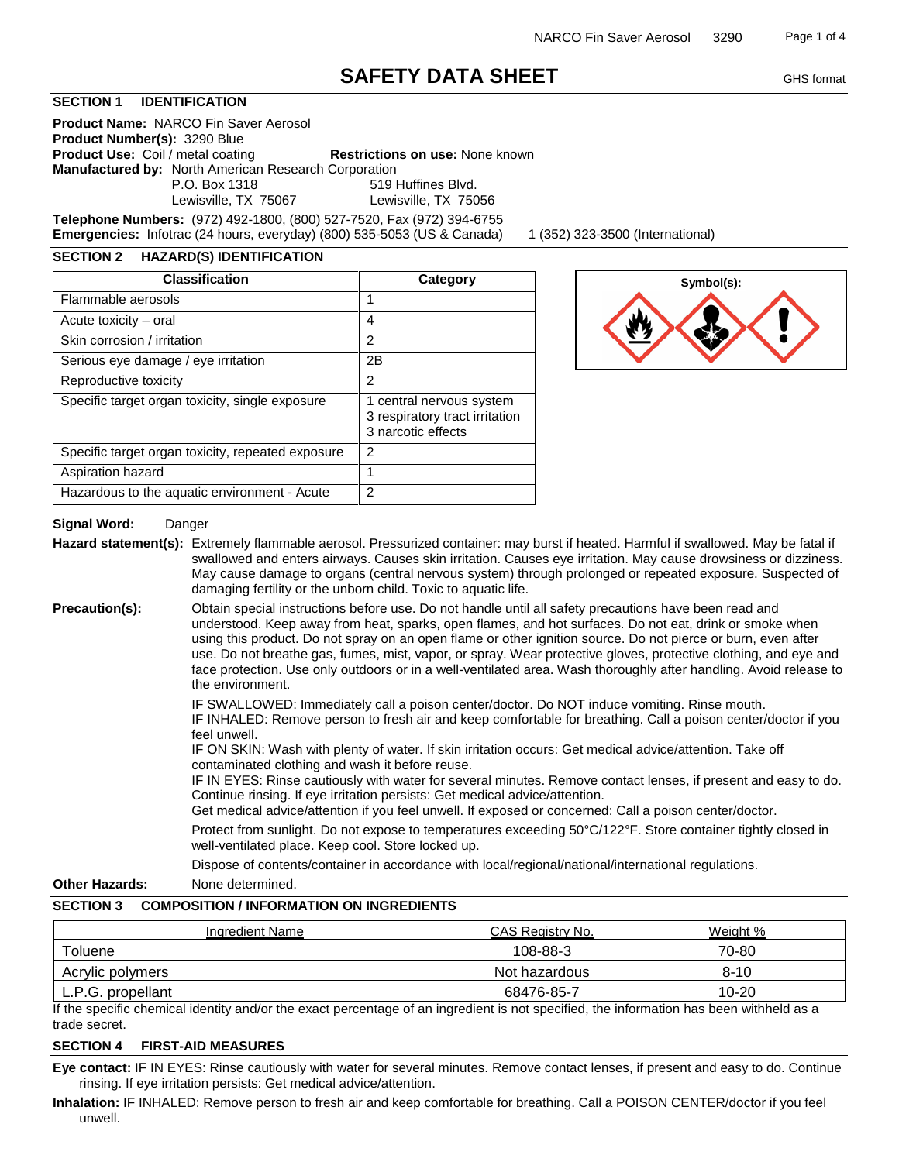# **SAFETY DATA SHEET** GHS format

### **SECTION 1 IDENTIFICATION**

**Product Name:** NARCO Fin Saver Aerosol **Product Number(s):** 3290 Blue **Product Use:** Coil / metal coating **Restrictions on use:** None known **Manufactured by:** North American Research Corporation

P.O. Box 1318 519 Huffines Blvd.<br>
Lewisville, TX 75067 Lewisville, TX 750 Lewisville, TX 75056

**Telephone Numbers:** (972) 492-1800, (800) 527-7520, Fax (972) 394-6755 **Emergencies:** Infotrac (24 hours, everyday) (800) 535-5053 (US & Canada) 1 (352) 323-3500 (International)

#### **SECTION 2 HAZARD(S) IDENTIFICATION**

| <b>Classification</b>                             | Category                                                                         |
|---------------------------------------------------|----------------------------------------------------------------------------------|
| Flammable aerosols                                |                                                                                  |
| Acute toxicity – oral                             | 4                                                                                |
| Skin corrosion / irritation                       | 2                                                                                |
| Serious eye damage / eye irritation               | 2Β                                                                               |
| Reproductive toxicity                             | 2                                                                                |
| Specific target organ toxicity, single exposure   | 1 central nervous system<br>3 respiratory tract irritation<br>3 narcotic effects |
| Specific target organ toxicity, repeated exposure | 2                                                                                |
| Aspiration hazard                                 |                                                                                  |
| Hazardous to the aquatic environment - Acute      | 2                                                                                |



# **Signal Word:** Danger

**Hazard statement(s):** Extremely flammable aerosol. Pressurized container: may burst if heated. Harmful if swallowed. May be fatal if swallowed and enters airways. Causes skin irritation. Causes eye irritation. May cause drowsiness or dizziness. May cause damage to organs (central nervous system) through prolonged or repeated exposure. Suspected of damaging fertility or the unborn child. Toxic to aquatic life.

**Precaution(s):** Obtain special instructions before use. Do not handle until all safety precautions have been read and understood. Keep away from heat, sparks, open flames, and hot surfaces. Do not eat, drink or smoke when using this product. Do not spray on an open flame or other ignition source. Do not pierce or burn, even after use. Do not breathe gas, fumes, mist, vapor, or spray. Wear protective gloves, protective clothing, and eye and face protection. Use only outdoors or in a well-ventilated area. Wash thoroughly after handling. Avoid release to the environment.

> IF SWALLOWED: Immediately call a poison center/doctor. Do NOT induce vomiting. Rinse mouth. IF INHALED: Remove person to fresh air and keep comfortable for breathing. Call a poison center/doctor if you feel unwell.

IF ON SKIN: Wash with plenty of water. If skin irritation occurs: Get medical advice/attention. Take off contaminated clothing and wash it before reuse.

IF IN EYES: Rinse cautiously with water for several minutes. Remove contact lenses, if present and easy to do. Continue rinsing. If eye irritation persists: Get medical advice/attention.

Get medical advice/attention if you feel unwell. If exposed or concerned: Call a poison center/doctor.

Protect from sunlight. Do not expose to temperatures exceeding 50°C/122°F. Store container tightly closed in well-ventilated place. Keep cool. Store locked up.

Dispose of contents/container in accordance with local/regional/national/international regulations.

**Other Hazards:** None determined.

### **SECTION 3 COMPOSITION / INFORMATION ON INGREDIENTS**

| Ingredient Name   | CAS Reaistry No. | Weight %  |
|-------------------|------------------|-----------|
| Toluene           | 108-88-3         | 70-80     |
| Acrylic polymers  | Not hazardous    | $8 - 10$  |
| L.P.G. propellant | 68476-85-7       | $10 - 20$ |

If the specific chemical identity and/or the exact percentage of an ingredient is not specified, the information has been withheld as a trade secret.

# **SECTION 4 FIRST-AID MEASURES**

**Eye contact:** IF IN EYES: Rinse cautiously with water for several minutes. Remove contact lenses, if present and easy to do. Continue rinsing. If eye irritation persists: Get medical advice/attention.

**Inhalation:** IF INHALED: Remove person to fresh air and keep comfortable for breathing. Call a POISON CENTER/doctor if you feel unwell.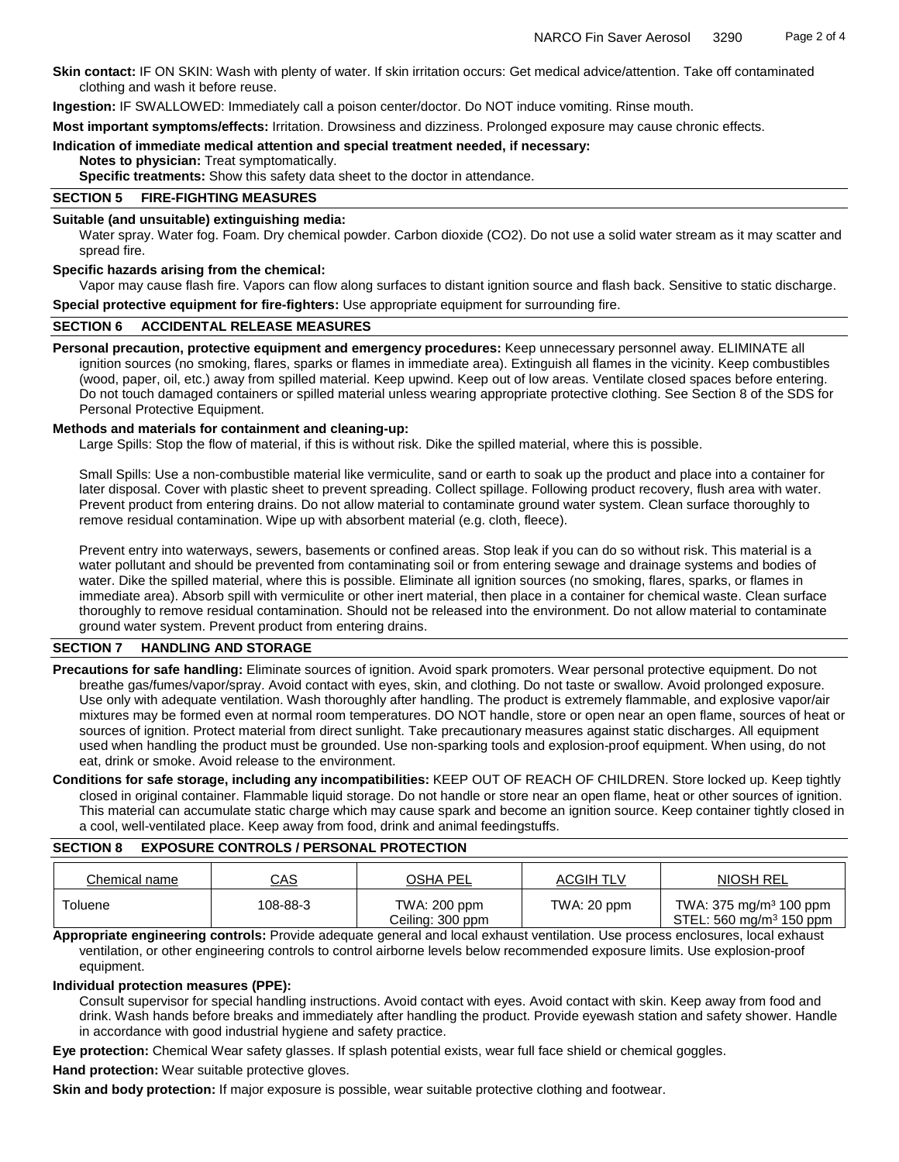**Skin contact:** IF ON SKIN: Wash with plenty of water. If skin irritation occurs: Get medical advice/attention. Take off contaminated clothing and wash it before reuse.

**Ingestion:** IF SWALLOWED: Immediately call a poison center/doctor. Do NOT induce vomiting. Rinse mouth.

**Most important symptoms/effects:** Irritation. Drowsiness and dizziness. Prolonged exposure may cause chronic effects.

### **Indication of immediate medical attention and special treatment needed, if necessary:**

**Notes to physician:** Treat symptomatically.

**Specific treatments:** Show this safety data sheet to the doctor in attendance.

# **SECTION 5 FIRE-FIGHTING MEASURES**

### **Suitable (and unsuitable) extinguishing media:**

Water spray. Water fog. Foam. Dry chemical powder. Carbon dioxide (CO2). Do not use a solid water stream as it may scatter and spread fire.

### **Specific hazards arising from the chemical:**

Vapor may cause flash fire. Vapors can flow along surfaces to distant ignition source and flash back. Sensitive to static discharge. **Special protective equipment for fire-fighters:** Use appropriate equipment for surrounding fire.

### **SECTION 6 ACCIDENTAL RELEASE MEASURES**

**Personal precaution, protective equipment and emergency procedures:** Keep unnecessary personnel away. ELIMINATE all ignition sources (no smoking, flares, sparks or flames in immediate area). Extinguish all flames in the vicinity. Keep combustibles (wood, paper, oil, etc.) away from spilled material. Keep upwind. Keep out of low areas. Ventilate closed spaces before entering. Do not touch damaged containers or spilled material unless wearing appropriate protective clothing. See Section 8 of the SDS for Personal Protective Equipment.

### **Methods and materials for containment and cleaning-up:**

Large Spills: Stop the flow of material, if this is without risk. Dike the spilled material, where this is possible.

Small Spills: Use a non-combustible material like vermiculite, sand or earth to soak up the product and place into a container for later disposal. Cover with plastic sheet to prevent spreading. Collect spillage. Following product recovery, flush area with water. Prevent product from entering drains. Do not allow material to contaminate ground water system. Clean surface thoroughly to remove residual contamination. Wipe up with absorbent material (e.g. cloth, fleece).

Prevent entry into waterways, sewers, basements or confined areas. Stop leak if you can do so without risk. This material is a water pollutant and should be prevented from contaminating soil or from entering sewage and drainage systems and bodies of water. Dike the spilled material, where this is possible. Eliminate all ignition sources (no smoking, flares, sparks, or flames in immediate area). Absorb spill with vermiculite or other inert material, then place in a container for chemical waste. Clean surface thoroughly to remove residual contamination. Should not be released into the environment. Do not allow material to contaminate ground water system. Prevent product from entering drains.

# **SECTION 7 HANDLING AND STORAGE**

**Precautions for safe handling:** Eliminate sources of ignition. Avoid spark promoters. Wear personal protective equipment. Do not breathe gas/fumes/vapor/spray. Avoid contact with eyes, skin, and clothing. Do not taste or swallow. Avoid prolonged exposure. Use only with adequate ventilation. Wash thoroughly after handling. The product is extremely flammable, and explosive vapor/air mixtures may be formed even at normal room temperatures. DO NOT handle, store or open near an open flame, sources of heat or sources of ignition. Protect material from direct sunlight. Take precautionary measures against static discharges. All equipment used when handling the product must be grounded. Use non-sparking tools and explosion-proof equipment. When using, do not eat, drink or smoke. Avoid release to the environment.

**Conditions for safe storage, including any incompatibilities:** KEEP OUT OF REACH OF CHILDREN. Store locked up. Keep tightly closed in original container. Flammable liquid storage. Do not handle or store near an open flame, heat or other sources of ignition. This material can accumulate static charge which may cause spark and become an ignition source. Keep container tightly closed in a cool, well-ventilated place. Keep away from food, drink and animal feedingstuffs.

# **SECTION 8 EXPOSURE CONTROLS / PERSONAL PROTECTION**

| Chemical name | <u>CAS</u> | <b>OSHA PEL</b>                  | <b>ACGIH TLV</b> | <b>NIOSH REL</b>                                                          |
|---------------|------------|----------------------------------|------------------|---------------------------------------------------------------------------|
| Toluene       | 108-88-3   | TWA: 200 ppm<br>Ceiling: 300 ppm | TWA: 20 ppm      | TWA: 375 mg/m <sup>3</sup> 100 ppm<br>STEL: 560 mg/m <sup>3</sup> 150 ppm |

**Appropriate engineering controls:** Provide adequate general and local exhaust ventilation. Use process enclosures, local exhaust ventilation, or other engineering controls to control airborne levels below recommended exposure limits. Use explosion-proof equipment.

# **Individual protection measures (PPE):**

Consult supervisor for special handling instructions. Avoid contact with eyes. Avoid contact with skin. Keep away from food and drink. Wash hands before breaks and immediately after handling the product. Provide eyewash station and safety shower. Handle in accordance with good industrial hygiene and safety practice.

**Eye protection:** Chemical Wear safety glasses. If splash potential exists, wear full face shield or chemical goggles.

**Hand protection:** Wear suitable protective gloves.

**Skin and body protection:** If major exposure is possible, wear suitable protective clothing and footwear.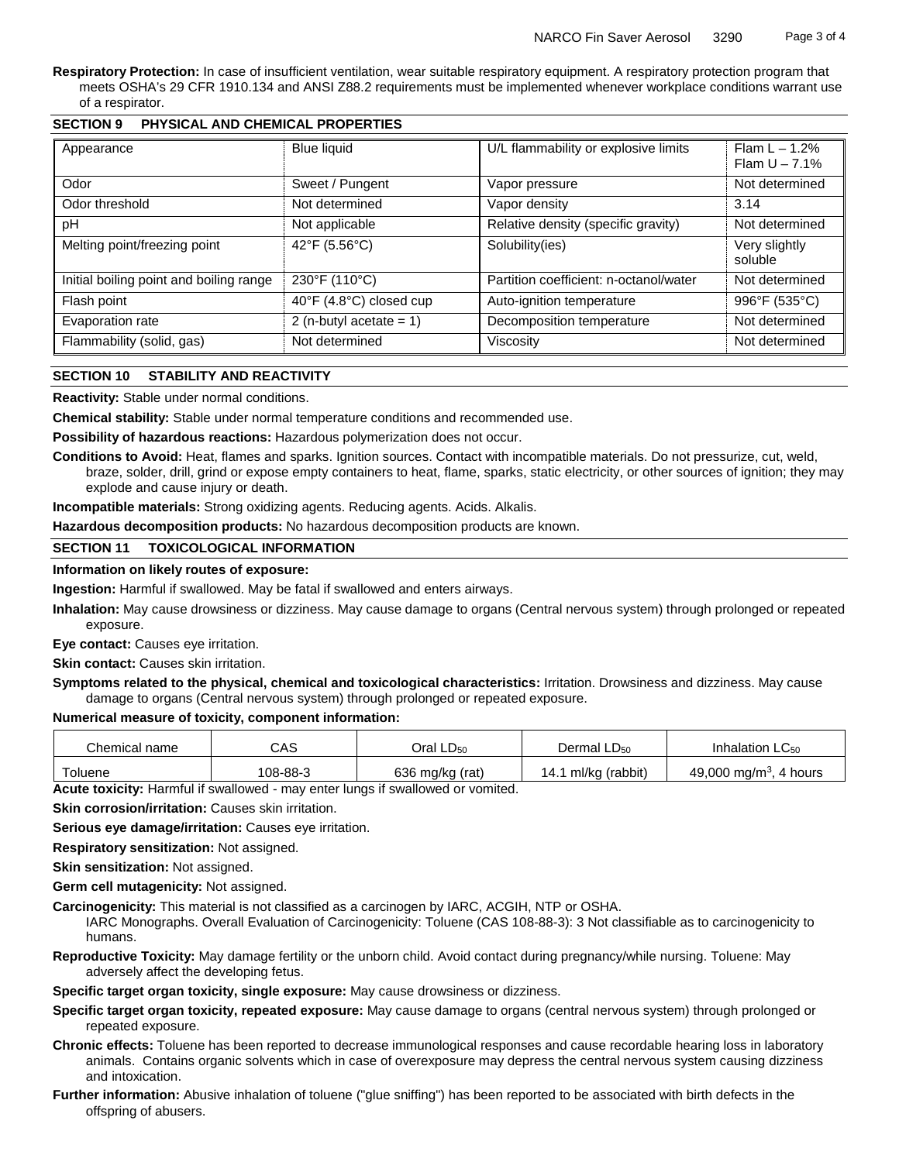**Respiratory Protection:** In case of insufficient ventilation, wear suitable respiratory equipment. A respiratory protection program that meets OSHA's 29 CFR 1910.134 and ANSI Z88.2 requirements must be implemented whenever workplace conditions warrant use of a respirator.

| Appearance                                    | <b>Blue liquid</b>         | U/L flammability or explosive limits   | $\overline{Flam}$ L – 1.2%<br>Flam $U - 7.1%$ |
|-----------------------------------------------|----------------------------|----------------------------------------|-----------------------------------------------|
| Odor                                          | Sweet / Pungent            | Vapor pressure                         | Not determined                                |
| Odor threshold<br>Not determined              |                            | Vapor density                          | 3.14                                          |
| pH                                            | Not applicable             | Relative density (specific gravity)    | Not determined                                |
| 42°F (5.56°C)<br>Melting point/freezing point |                            | Solubility(ies)                        | Very slightly<br>soluble                      |
| Initial boiling point and boiling range       | 230°F (110°C)              | Partition coefficient: n-octanol/water | Not determined                                |
| Flash point                                   | 40°F (4.8°C) closed cup    | Auto-ignition temperature              | 996°F (535°C)                                 |
| Evaporation rate                              | 2 (n-butyl acetate = $1$ ) | Decomposition temperature              | Not determined                                |
| Flammability (solid, gas)                     | Not determined             | Viscosity                              | Not determined                                |

# **SECTION 9 PHYSICAL AND CHEMICAL PROPERTIES**

# **SECTION 10 STABILITY AND REACTIVITY**

**Reactivity:** Stable under normal conditions.

**Chemical stability:** Stable under normal temperature conditions and recommended use.

**Possibility of hazardous reactions:** Hazardous polymerization does not occur.

**Conditions to Avoid:** Heat, flames and sparks. Ignition sources. Contact with incompatible materials. Do not pressurize, cut, weld, braze, solder, drill, grind or expose empty containers to heat, flame, sparks, static electricity, or other sources of ignition; they may explode and cause injury or death.

**Incompatible materials:** Strong oxidizing agents. Reducing agents. Acids. Alkalis.

**Hazardous decomposition products:** No hazardous decomposition products are known.

### **SECTION 11 TOXICOLOGICAL INFORMATION**

### **Information on likely routes of exposure:**

**Ingestion:** Harmful if swallowed. May be fatal if swallowed and enters airways.

**Inhalation:** May cause drowsiness or dizziness. May cause damage to organs (Central nervous system) through prolonged or repeated exposure.

**Eye contact:** Causes eye irritation.

**Skin contact:** Causes skin irritation.

**Symptoms related to the physical, chemical and toxicological characteristics:** Irritation. Drowsiness and dizziness. May cause damage to organs (Central nervous system) through prolonged or repeated exposure.

# **Numerical measure of toxicity, component information:**

| Chemical name | CAS      | Oral LD <sub>50</sub> | Dermal $LD_{50}$ | Inhalation $LC_{50}$                |
|---------------|----------|-----------------------|------------------|-------------------------------------|
| Toluene       | 108-88-3 | 636 mg/kg (rat)       | ml/kg (rabbit)   | 49,000 mg/m <sup>3</sup><br>4 hours |

**Acute toxicity:** Harmful if swallowed - may enter lungs if swallowed or vomited.

**Skin corrosion/irritation:** Causes skin irritation.

**Serious eye damage/irritation:** Causes eye irritation.

**Respiratory sensitization:** Not assigned.

**Skin sensitization:** Not assigned.

**Germ cell mutagenicity:** Not assigned.

**Carcinogenicity:** This material is not classified as a carcinogen by IARC, ACGIH, NTP or OSHA.

IARC Monographs. Overall Evaluation of Carcinogenicity: Toluene (CAS 108-88-3): 3 Not classifiable as to carcinogenicity to humans.

**Reproductive Toxicity:** May damage fertility or the unborn child. Avoid contact during pregnancy/while nursing. Toluene: May adversely affect the developing fetus.

**Specific target organ toxicity, single exposure:** May cause drowsiness or dizziness.

- **Specific target organ toxicity, repeated exposure:** May cause damage to organs (central nervous system) through prolonged or repeated exposure.
- **Chronic effects:** Toluene has been reported to decrease immunological responses and cause recordable hearing loss in laboratory animals. Contains organic solvents which in case of overexposure may depress the central nervous system causing dizziness and intoxication.
- **Further information:** Abusive inhalation of toluene ("glue sniffing") has been reported to be associated with birth defects in the offspring of abusers.